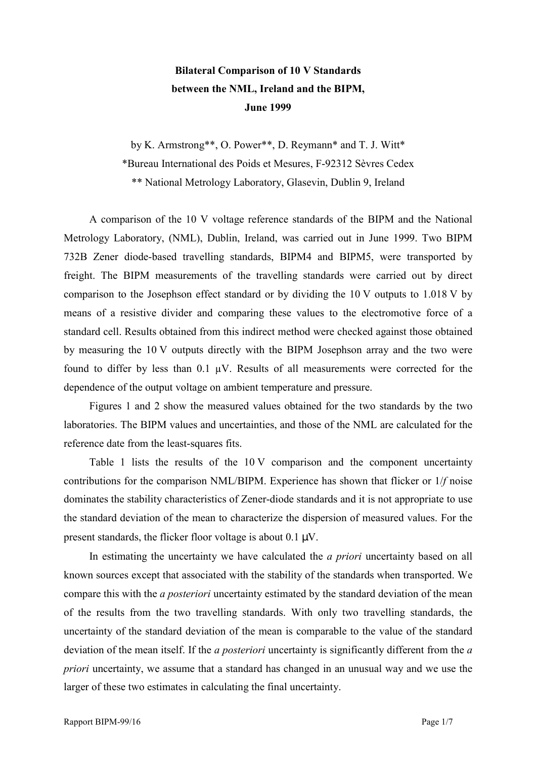## **Bilateral Comparison of 10 V Standards between the NML, Ireland and the BIPM, June 1999**

by K. Armstrong\*\*, O. Power\*\*, D. Reymann\* and T. J. Witt\* \*Bureau International des Poids et Mesures, F-92312 SËvres Cedex \*\* National Metrology Laboratory, Glasevin, Dublin 9, Ireland

A comparison of the 10 V voltage reference standards of the BIPM and the National Metrology Laboratory, (NML), Dublin, Ireland, was carried out in June 1999. Two BIPM 732B Zener diode-based travelling standards, BIPM4 and BIPM5, were transported by freight. The BIPM measurements of the travelling standards were carried out by direct comparison to the Josephson effect standard or by dividing the 10 V outputs to 1.018 V by means of a resistive divider and comparing these values to the electromotive force of a standard cell. Results obtained from this indirect method were checked against those obtained by measuring the 10 V outputs directly with the BIPM Josephson array and the two were found to differ by less than  $0.1 \mu V$ . Results of all measurements were corrected for the dependence of the output voltage on ambient temperature and pressure.

Figures 1 and 2 show the measured values obtained for the two standards by the two laboratories. The BIPM values and uncertainties, and those of the NML are calculated for the reference date from the least-squares fits.

Table 1 lists the results of the 10 V comparison and the component uncertainty contributions for the comparison NML/BIPM. Experience has shown that flicker or 1/*f* noise dominates the stability characteristics of Zener-diode standards and it is not appropriate to use the standard deviation of the mean to characterize the dispersion of measured values. For the present standards, the flicker floor voltage is about 0.1 µV.

In estimating the uncertainty we have calculated the *a priori* uncertainty based on all known sources except that associated with the stability of the standards when transported. We compare this with the *a posteriori* uncertainty estimated by the standard deviation of the mean of the results from the two travelling standards. With only two travelling standards, the uncertainty of the standard deviation of the mean is comparable to the value of the standard deviation of the mean itself. If the *a posteriori* uncertainty is significantly different from the *a priori* uncertainty, we assume that a standard has changed in an unusual way and we use the larger of these two estimates in calculating the final uncertainty.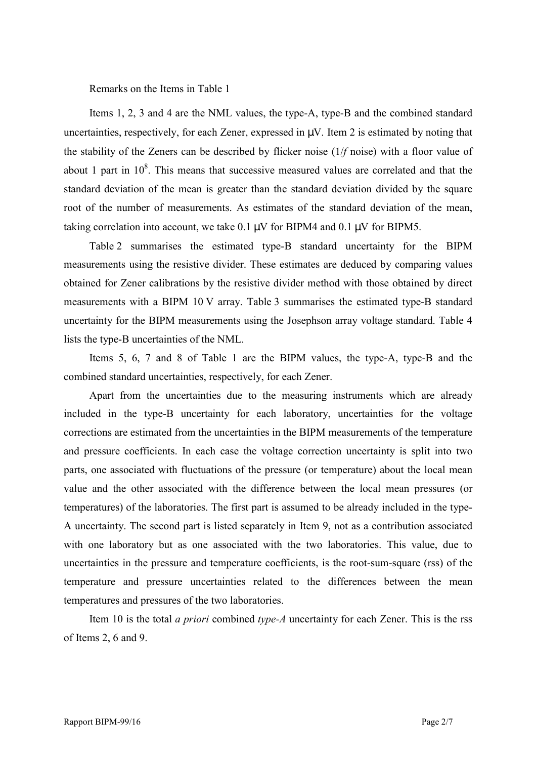Remarks on the Items in Table 1

Items 1, 2, 3 and 4 are the NML values, the type-A, type-B and the combined standard uncertainties, respectively, for each Zener, expressed in  $\mu$ V. Item 2 is estimated by noting that the stability of the Zeners can be described by flicker noise (1/*f* noise) with a floor value of about 1 part in  $10^8$ . This means that successive measured values are correlated and that the standard deviation of the mean is greater than the standard deviation divided by the square root of the number of measurements. As estimates of the standard deviation of the mean, taking correlation into account, we take  $0.1 \mu V$  for BIPM4 and  $0.1 \mu V$  for BIPM5.

Table 2 summarises the estimated type-B standard uncertainty for the BIPM measurements using the resistive divider. These estimates are deduced by comparing values obtained for Zener calibrations by the resistive divider method with those obtained by direct measurements with a BIPM 10 V array. Table 3 summarises the estimated type-B standard uncertainty for the BIPM measurements using the Josephson array voltage standard. Table 4 lists the type-B uncertainties of the NML.

Items 5, 6, 7 and 8 of Table 1 are the BIPM values, the type-A, type-B and the combined standard uncertainties, respectively, for each Zener.

Apart from the uncertainties due to the measuring instruments which are already included in the type-B uncertainty for each laboratory, uncertainties for the voltage corrections are estimated from the uncertainties in the BIPM measurements of the temperature and pressure coefficients. In each case the voltage correction uncertainty is split into two parts, one associated with fluctuations of the pressure (or temperature) about the local mean value and the other associated with the difference between the local mean pressures (or temperatures) of the laboratories. The first part is assumed to be already included in the type-A uncertainty. The second part is listed separately in Item 9, not as a contribution associated with one laboratory but as one associated with the two laboratories. This value, due to uncertainties in the pressure and temperature coefficients, is the root-sum-square (rss) of the temperature and pressure uncertainties related to the differences between the mean temperatures and pressures of the two laboratories.

Item 10 is the total *a priori* combined *type-A* uncertainty for each Zener. This is the rss of Items 2, 6 and 9.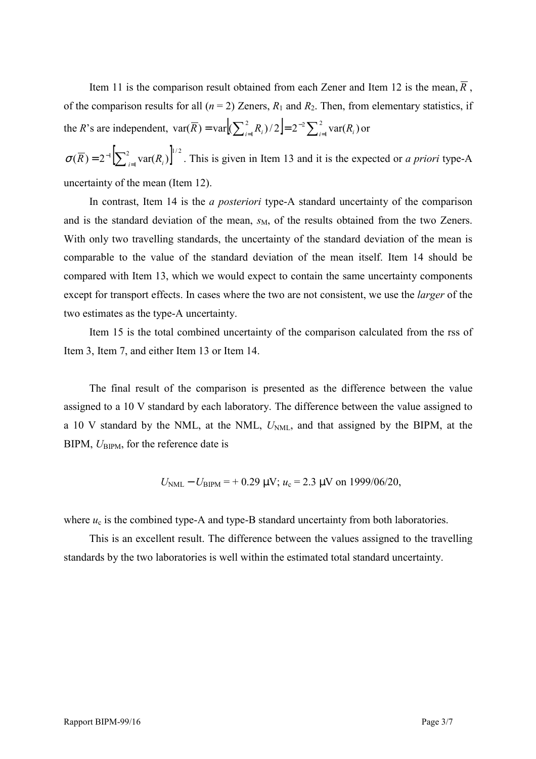Item 11 is the comparison result obtained from each Zener and Item 12 is the mean,  $\overline{R}$ . of the comparison results for all  $(n = 2)$  Zeners,  $R_1$  and  $R_2$ . Then, from elementary statistics, if the *R*'s are independent,  $var(\overline{R}) = var \Big| \Big( \sum_{i=1}^{2} R_i \Big) / 2 \Big| = 2^{-2} \sum_{i=1}^{2} R_i$  $\text{var}(\overline{R}) = \text{var}(\sum_{i=1}^{2} R_i)/2 = 2^{-2} \sum_{i=1}^{2} \text{var}(R_i)$  or

 $\sigma(\overline{R}) = 2^{-1} \left[ \sum_{i=1}^{2} \text{var}(R_i) \right]^{1/2}$ . This is given in Item 13 and it is the expected or *a priori* type-A uncertainty of the mean (Item 12).

In contrast, Item 14 is the *a posteriori* type-A standard uncertainty of the comparison and is the standard deviation of the mean,  $s_M$ , of the results obtained from the two Zeners. With only two travelling standards, the uncertainty of the standard deviation of the mean is comparable to the value of the standard deviation of the mean itself. Item 14 should be compared with Item 13, which we would expect to contain the same uncertainty components except for transport effects. In cases where the two are not consistent, we use the *larger* of the two estimates as the type-A uncertainty.

Item 15 is the total combined uncertainty of the comparison calculated from the rss of Item 3, Item 7, and either Item 13 or Item 14.

The final result of the comparison is presented as the difference between the value assigned to a 10 V standard by each laboratory. The difference between the value assigned to a 10 V standard by the NML, at the NML,  $U_{NML}$ , and that assigned by the BIPM, at the BIPM,  $U_{\text{BIPM}}$ , for the reference date is

$$
U_{\text{NML}} - U_{\text{BIPM}} = +0.29 \text{ }\mu\text{V}; u_c = 2.3 \text{ }\mu\text{V} \text{ on } 1999/06/20,
$$

where  $u_c$  is the combined type-A and type-B standard uncertainty from both laboratories.

This is an excellent result. The difference between the values assigned to the travelling standards by the two laboratories is well within the estimated total standard uncertainty.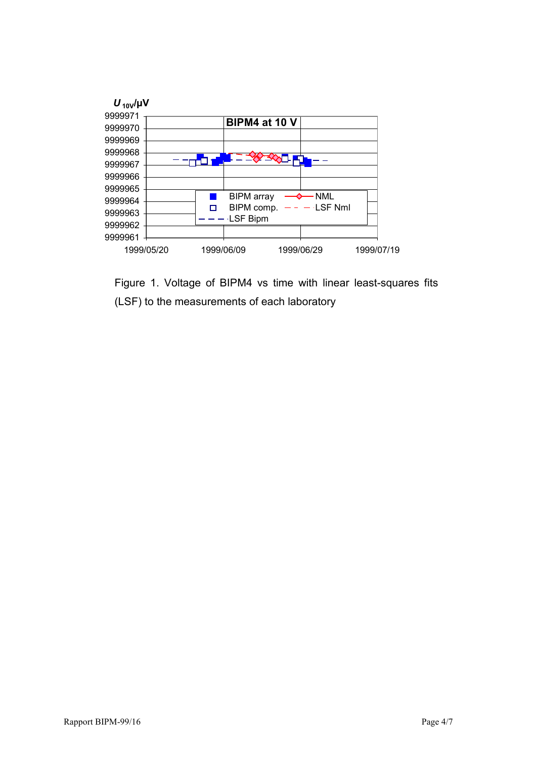

Figure 1. Voltage of BIPM4 vs time with linear least-squares fits (LSF) to the measurements of each laboratory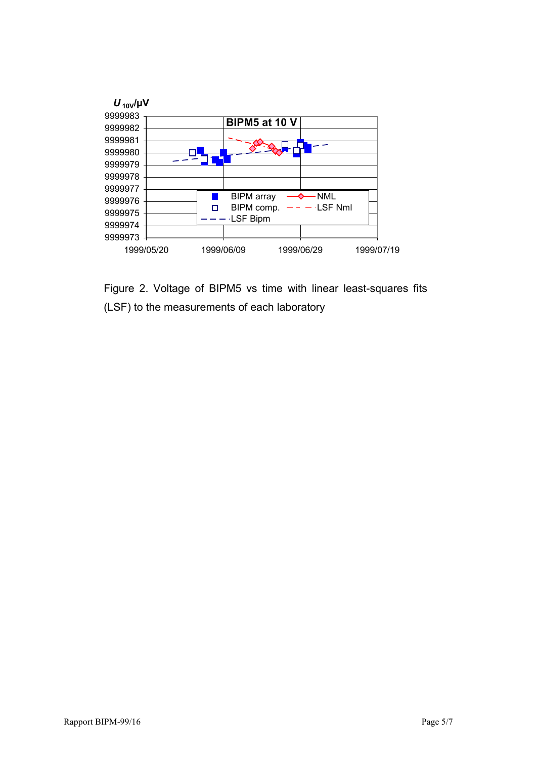

Figure 2. Voltage of BIPM5 vs time with linear least-squares fits (LSF) to the measurements of each laboratory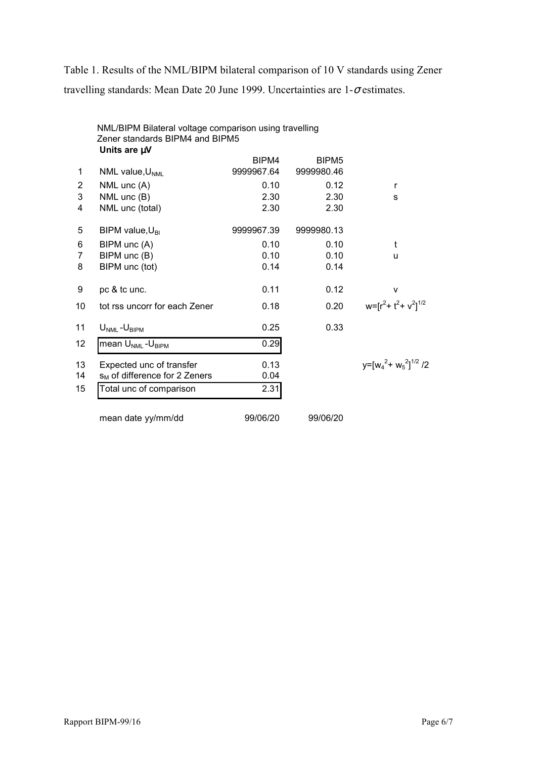Table 1. Results of the NML/BIPM bilateral comparison of 10 V standards using Zener travelling standards: Mean Date 20 June 1999. Uncertainties are  $1-\sigma$  estimates.

|                | NML/BIPM Bilateral voltage comparison using travelling<br>Zener standards BIPM4 and BIPM5<br>Units are µV |            |                   |                            |
|----------------|-----------------------------------------------------------------------------------------------------------|------------|-------------------|----------------------------|
|                |                                                                                                           | BIPM4      | BIPM <sub>5</sub> |                            |
| 1              | NML value, $U_{NML}$                                                                                      | 9999967.64 | 9999980.46        |                            |
| $\overline{2}$ | NML unc (A)                                                                                               | 0.10       | 0.12              | $\mathsf{r}$               |
| 3              | NML unc (B)                                                                                               | 2.30       | 2.30              | S                          |
| 4              | NML unc (total)                                                                                           | 2.30       | 2.30              |                            |
| 5              | BIPM value, $U_{\text{BI}}$                                                                               | 9999967.39 | 9999980.13        |                            |
| 6              | BIPM unc (A)                                                                                              | 0.10       | 0.10              | t                          |
| 7              | BIPM unc (B)                                                                                              | 0.10       | 0.10              | u                          |
| 8              | BIPM unc (tot)                                                                                            | 0.14       | 0.14              |                            |
| 9              | pc & tc unc.                                                                                              | 0.11       | 0.12              | v                          |
| 10             | tot rss uncorr for each Zener                                                                             | 0.18       | 0.20              | $w=[r^2+t^2+v^2]^{1/2}$    |
| 11             | $U_{NML} - U_{BIPM}$                                                                                      | 0.25       | 0.33              |                            |
| 12             | mean U <sub>NML</sub> -U <sub>BIPM</sub>                                                                  | 0.29       |                   |                            |
| 13             | Expected unc of transfer                                                                                  | 0.13       |                   | $y=[w_4^2+w_5^2]^{1/2}$ /2 |
| 14             | S <sub>M</sub> of difference for 2 Zeners                                                                 | 0.04       |                   |                            |
| 15             | Total unc of comparison                                                                                   | 2.31       |                   |                            |
|                | mean date yy/mm/dd                                                                                        | 99/06/20   | 99/06/20          |                            |